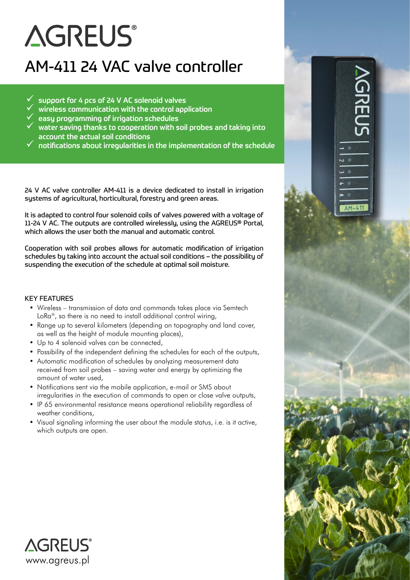# **AGREUS®**

# AM-411 24 VAC valve controller

- 9 support for 4 pcs of 24 V AC solenoid valves
- 9 wireless communication with the control application
- 9 easy programming of irrigation schedules
- 9 water saving thanks to cooperation with soil probes and taking into account the actual soil conditions
- 9 notifications about irregularities in the implementation of the schedule

VGREU®

 $\overline{\phantom{0}}$  $\overline{\mathbf{w}}$ 

 $AM-411$ 

24 V AC valve controller AM-411 is a device dedicated to install in irrigation systems of agricultural, horticultural, forestry and green areas.

It is adapted to control four solenoid coils of valves powered with a voltage of 11-24 V AC. The outputs are controlled wirelessly, using the AGREUS® Portal, which allows the user both the manual and automatic control.

Cooperation with soil probes allows for automatic modification of irrigation schedules by taking into account the actual soil conditions – the possibility of suspending the execution of the schedule at optimal soil moisture.

#### KEY FEATURES

- Wireless transmission of data and commands takes place via Semtech LoRa<sup>®</sup>, so there is no need to install additional control wiring,
- Range up to several kilometers (depending on topography and land cover, as well as the height of module mounting places),
- Up to 4 solenoid valves can be connected,
- Possibility of the independent defining the schedules for each of the outputs,
- Automatic modification of schedules by analyzing measurement data received from soil probes – saving water and energy by optimizing the amount of water used,
- Notifications sent via the mobile application, e-mail or SMS about irregularities in the execution of commands to open or close valve outputs,
- IP 65 environmental resistance means operational reliability regardless of weather conditions,
- Visual signaling informing the user about the module status, i.e. is it active, which outputs are open.